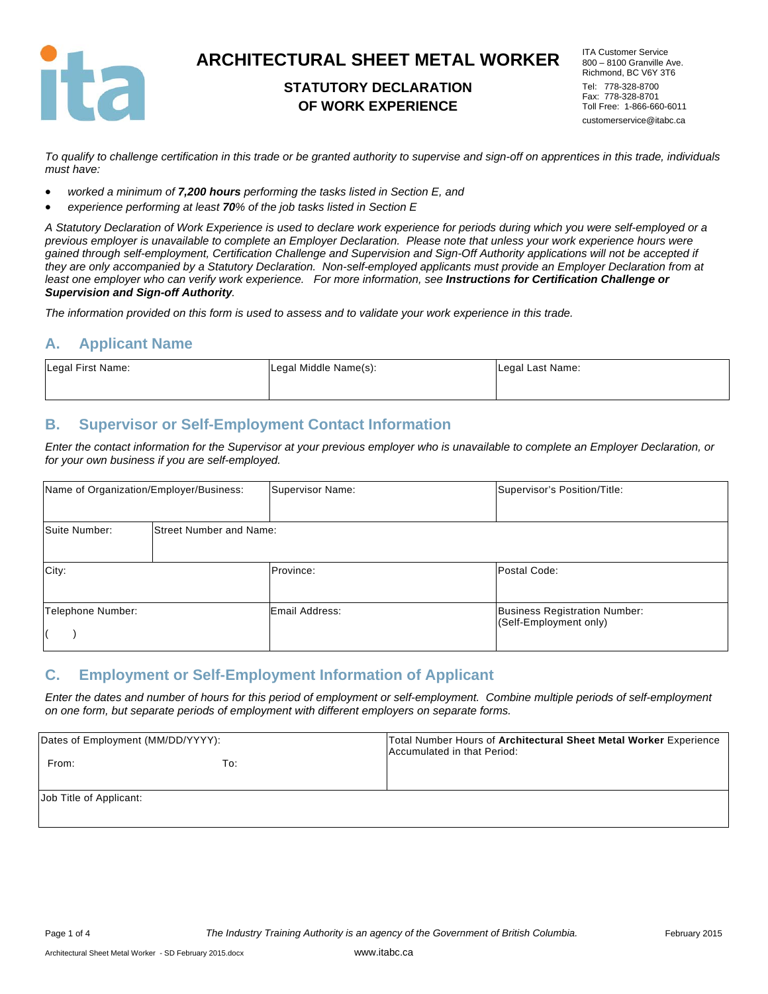

## **STATUTORY DECLARATION OF WORK EXPERIENCE**

ITA Customer Service 800 – 8100 Granville Ave. Richmond, BC V6Y 3T6 Tel: 778-328-8700 Fax: 778-328-8701 Toll Free: 1-866-660-6011 customerservice@itabc.ca

*To qualify to challenge certification in this trade or be granted authority to supervise and sign-off on apprentices in this trade, individuals must have:* 

- *worked a minimum of 7,200 hours performing the tasks listed in Section E, and*
- *experience performing at least 70% of the job tasks listed in Section E*

*A Statutory Declaration of Work Experience is used to declare work experience for periods during which you were self-employed or a previous employer is unavailable to complete an Employer Declaration. Please note that unless your work experience hours were gained through self-employment, Certification Challenge and Supervision and Sign-Off Authority applications will not be accepted if they are only accompanied by a Statutory Declaration. Non-self-employed applicants must provide an Employer Declaration from at*  least one employer who can verify work experience. For more information, see **Instructions for Certification Challenge or** *Supervision and Sign-off Authority.* 

*The information provided on this form is used to assess and to validate your work experience in this trade.* 

#### **A. Applicant Name**

| Legal First Name: | Legal Middle Name(s): | Legal Last Name: |
|-------------------|-----------------------|------------------|
|                   |                       |                  |

### **B. Supervisor or Self-Employment Contact Information**

*Enter the contact information for the Supervisor at your previous employer who is unavailable to complete an Employer Declaration, or for your own business if you are self-employed.* 

| Name of Organization/Employer/Business: |                                | Supervisor Name: | Supervisor's Position/Title:                                   |
|-----------------------------------------|--------------------------------|------------------|----------------------------------------------------------------|
| Suite Number:                           | <b>Street Number and Name:</b> |                  |                                                                |
| City:                                   |                                | Province:        | Postal Code:                                                   |
| Telephone Number:                       |                                | Email Address:   | <b>Business Registration Number:</b><br>(Self-Employment only) |

#### **C. Employment or Self-Employment Information of Applicant**

*Enter the dates and number of hours for this period of employment or self-employment. Combine multiple periods of self-employment on one form, but separate periods of employment with different employers on separate forms.* 

| Dates of Employment (MM/DD/YYYY): |     | Total Number Hours of Architectural Sheet Metal Worker Experience<br>Accumulated in that Period: |  |
|-----------------------------------|-----|--------------------------------------------------------------------------------------------------|--|
| From:                             | To: |                                                                                                  |  |
| Job Title of Applicant:           |     |                                                                                                  |  |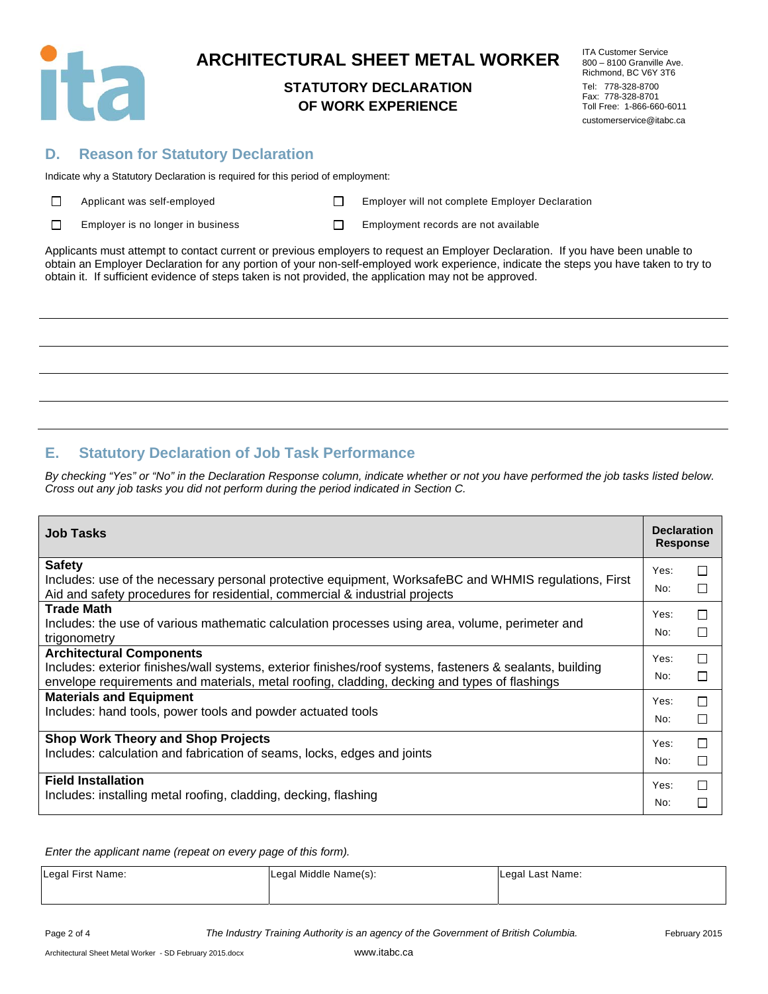

### **STATUTORY DECLARATION OF WORK EXPERIENCE**

ITA Customer Service 800 – 8100 Granville Ave. Richmond, BC V6Y 3T6 Tel: 778-328-8700 Fax: 778-328-8701 Toll Free: 1-866-660-6011 customerservice@itabc.ca

#### **D. Reason for Statutory Declaration**

Indicate why a Statutory Declaration is required for this period of employment:

| $\Box$ | Applicant was self-emplo |
|--------|--------------------------|
|--------|--------------------------|

Applicant Mapple Employer will not complete Employer Declaration

 $\Box$  Employer is no longer in business  $\Box$  Employment records are not available

Applicants must attempt to contact current or previous employers to request an Employer Declaration. If you have been unable to obtain an Employer Declaration for any portion of your non-self-employed work experience, indicate the steps you have taken to try to obtain it. If sufficient evidence of steps taken is not provided, the application may not be approved.

## **E. Statutory Declaration of Job Task Performance**

*By checking "Yes" or "No" in the Declaration Response column, indicate whether or not you have performed the job tasks listed below. Cross out any job tasks you did not perform during the period indicated in Section C.* 

| <b>Job Tasks</b>                                                                                                                                                                                         | <b>Declaration</b><br><b>Response</b> |               |
|----------------------------------------------------------------------------------------------------------------------------------------------------------------------------------------------------------|---------------------------------------|---------------|
| <b>Safety</b>                                                                                                                                                                                            | Yes:                                  | П             |
| Includes: use of the necessary personal protective equipment, WorksafeBC and WHMIS regulations, First<br>Aid and safety procedures for residential, commercial & industrial projects                     | No:                                   | П             |
| <b>Trade Math</b>                                                                                                                                                                                        | Yes:                                  | $\Box$        |
| Includes: the use of various mathematic calculation processes using area, volume, perimeter and<br>trigonometry                                                                                          | No:                                   | П             |
| <b>Architectural Components</b>                                                                                                                                                                          | Yes:                                  | □             |
| Includes: exterior finishes/wall systems, exterior finishes/roof systems, fasteners & sealants, building<br>envelope requirements and materials, metal roofing, cladding, decking and types of flashings | No:                                   | П             |
| <b>Materials and Equipment</b>                                                                                                                                                                           | Yes:                                  | $\Box$        |
| Includes: hand tools, power tools and powder actuated tools                                                                                                                                              | No:                                   | П             |
| <b>Shop Work Theory and Shop Projects</b>                                                                                                                                                                | Yes:                                  | □             |
| Includes: calculation and fabrication of seams, locks, edges and joints                                                                                                                                  | No:                                   | П             |
| <b>Field Installation</b>                                                                                                                                                                                | Yes:                                  | П             |
| Includes: installing metal roofing, cladding, decking, flashing                                                                                                                                          | No:                                   | $\mathcal{L}$ |

*Enter the applicant name (repeat on every page of this form).* 

| Legal First Name: | Legal Middle Name(s): | Legal Last Name: |
|-------------------|-----------------------|------------------|
|                   |                       |                  |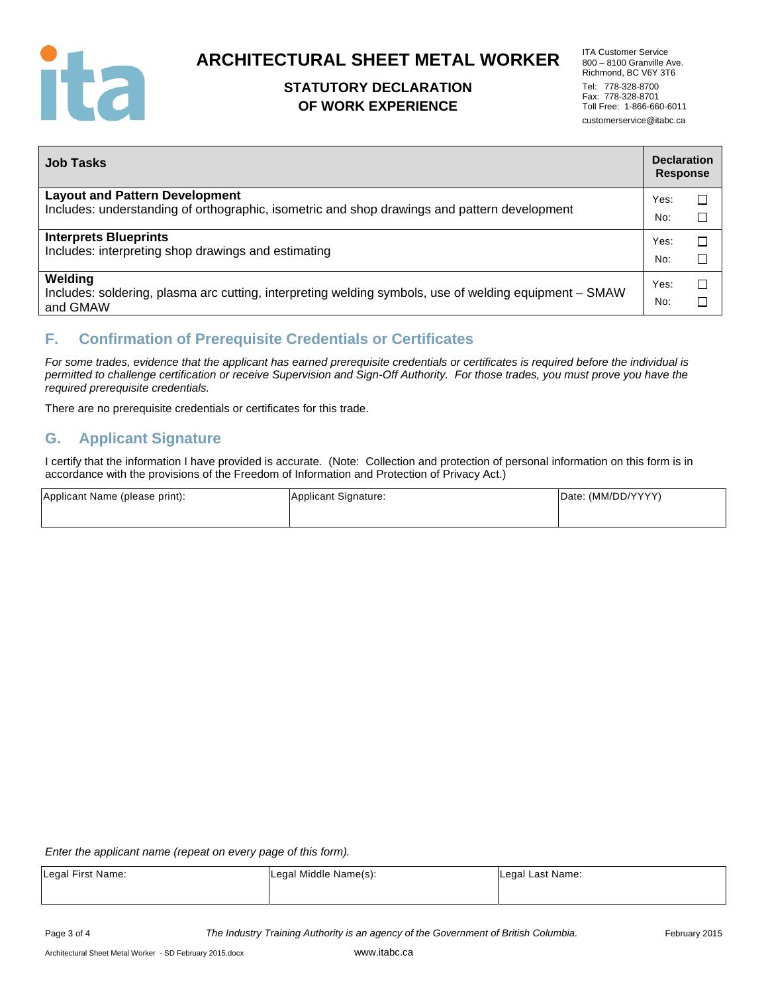

## **STATUTORY DECLARATION OF WORK EXPERIENCE**

| <b>ITA Customer Service</b> |  |  |
|-----------------------------|--|--|
| 800 - 8100 Granville Ave.   |  |  |
| Richmond. BC V6Y 3T6        |  |  |
| Tel: 778-328-8700           |  |  |
| Fax: 778-328-8701           |  |  |
| Toll Free: 1-866-660-6011   |  |  |
| customerservice@itabc.ca    |  |  |

| <b>Job Tasks</b>                                                                                                   | <b>Declaration</b><br><b>Response</b> |        |
|--------------------------------------------------------------------------------------------------------------------|---------------------------------------|--------|
| <b>Layout and Pattern Development</b>                                                                              | Yes:                                  | $\Box$ |
| Includes: understanding of orthographic, isometric and shop drawings and pattern development                       | No:                                   | □      |
| <b>Interprets Blueprints</b><br>Includes: interpreting shop drawings and estimating                                |                                       | $\Box$ |
|                                                                                                                    |                                       | П      |
| Welding                                                                                                            | Yes:                                  | □      |
| Includes: soldering, plasma arc cutting, interpreting welding symbols, use of welding equipment - SMAW<br>and GMAW | No:                                   |        |

## **F. Confirmation of Prerequisite Credentials or Certificates**

*For some trades, evidence that the applicant has earned prerequisite credentials or certificates is required before the individual is permitted to challenge certification or receive Supervision and Sign-Off Authority. For those trades, you must prove you have the required prerequisite credentials.* 

There are no prerequisite credentials or certificates for this trade.

### **G. Applicant Signature**

I certify that the information I have provided is accurate. (Note: Collection and protection of personal information on this form is in accordance with the provisions of the Freedom of Information and Protection of Privacy Act.)

| Applicant Name (please print): | Applicant Signature: | Date: (MM/DD/YYYY) |
|--------------------------------|----------------------|--------------------|
|                                |                      |                    |

*Enter the applicant name (repeat on every page of this form).* 

| Legal First Name: | Legal Middle Name(s): | Legal Last Name: |
|-------------------|-----------------------|------------------|
|                   |                       |                  |

Page 3 of 4 *The Industry Training Authority is an agency of the Government of British Columbia.* February 2015